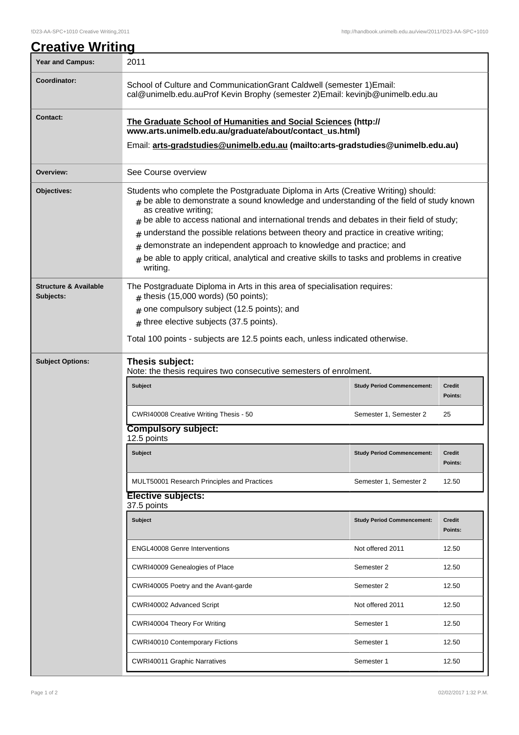| <u>Creative Writing</u>                       |                                                                                                                                                                                                                                                                                                                                                                                                                                                                                                                                                                                           |                                   |                          |  |
|-----------------------------------------------|-------------------------------------------------------------------------------------------------------------------------------------------------------------------------------------------------------------------------------------------------------------------------------------------------------------------------------------------------------------------------------------------------------------------------------------------------------------------------------------------------------------------------------------------------------------------------------------------|-----------------------------------|--------------------------|--|
| <b>Year and Campus:</b>                       | 2011                                                                                                                                                                                                                                                                                                                                                                                                                                                                                                                                                                                      |                                   |                          |  |
| Coordinator:                                  | School of Culture and CommunicationGrant Caldwell (semester 1) Email:<br>cal@unimelb.edu.auProf Kevin Brophy (semester 2) Email: kevinjb@unimelb.edu.au                                                                                                                                                                                                                                                                                                                                                                                                                                   |                                   |                          |  |
| <b>Contact:</b>                               | The Graduate School of Humanities and Social Sciences (http://<br>www.arts.unimelb.edu.au/graduate/about/contact_us.html)                                                                                                                                                                                                                                                                                                                                                                                                                                                                 |                                   |                          |  |
|                                               | Email: arts-gradstudies@unimelb.edu.au (mailto:arts-gradstudies@unimelb.edu.au)                                                                                                                                                                                                                                                                                                                                                                                                                                                                                                           |                                   |                          |  |
| Overview:                                     | See Course overview                                                                                                                                                                                                                                                                                                                                                                                                                                                                                                                                                                       |                                   |                          |  |
| Objectives:                                   | Students who complete the Postgraduate Diploma in Arts (Creative Writing) should:<br>$#$ be able to demonstrate a sound knowledge and understanding of the field of study known<br>as creative writing;<br>be able to access national and international trends and debates in their field of study;<br>#<br>understand the possible relations between theory and practice in creative writing;<br>#<br>demonstrate an independent approach to knowledge and practice; and<br>#<br>be able to apply critical, analytical and creative skills to tasks and problems in creative<br>writing. |                                   |                          |  |
| <b>Structure &amp; Available</b><br>Subjects: | The Postgraduate Diploma in Arts in this area of specialisation requires:<br>$#$ thesis (15,000 words) (50 points);<br>one compulsory subject (12.5 points); and<br>#<br>$#$ three elective subjects (37.5 points).<br>Total 100 points - subjects are 12.5 points each, unless indicated otherwise.                                                                                                                                                                                                                                                                                      |                                   |                          |  |
| <b>Subject Options:</b>                       | Thesis subject:<br>Note: the thesis requires two consecutive semesters of enrolment.                                                                                                                                                                                                                                                                                                                                                                                                                                                                                                      |                                   |                          |  |
|                                               | <b>Subject</b>                                                                                                                                                                                                                                                                                                                                                                                                                                                                                                                                                                            | <b>Study Period Commencement:</b> | Credit<br>Points:        |  |
|                                               | CWRI40008 Creative Writing Thesis - 50                                                                                                                                                                                                                                                                                                                                                                                                                                                                                                                                                    | Semester 1, Semester 2            | 25                       |  |
|                                               | <b>Compulsory subject:</b><br>12.5 points                                                                                                                                                                                                                                                                                                                                                                                                                                                                                                                                                 |                                   |                          |  |
|                                               | Subject                                                                                                                                                                                                                                                                                                                                                                                                                                                                                                                                                                                   | <b>Study Period Commencement:</b> | <b>Credit</b><br>Points: |  |
|                                               | MULT50001 Research Principles and Practices                                                                                                                                                                                                                                                                                                                                                                                                                                                                                                                                               | Semester 1, Semester 2            | 12.50                    |  |
|                                               | <b>Elective subjects:</b><br>37.5 points                                                                                                                                                                                                                                                                                                                                                                                                                                                                                                                                                  |                                   |                          |  |
|                                               | <b>Subject</b>                                                                                                                                                                                                                                                                                                                                                                                                                                                                                                                                                                            | <b>Study Period Commencement:</b> | <b>Credit</b><br>Points: |  |
|                                               | <b>ENGL40008 Genre Interventions</b>                                                                                                                                                                                                                                                                                                                                                                                                                                                                                                                                                      | Not offered 2011                  | 12.50                    |  |
|                                               | CWRI40009 Genealogies of Place                                                                                                                                                                                                                                                                                                                                                                                                                                                                                                                                                            | Semester 2                        | 12.50                    |  |
|                                               | CWRI40005 Poetry and the Avant-garde                                                                                                                                                                                                                                                                                                                                                                                                                                                                                                                                                      | Semester 2                        | 12.50                    |  |
|                                               | CWRI40002 Advanced Script                                                                                                                                                                                                                                                                                                                                                                                                                                                                                                                                                                 | Not offered 2011                  | 12.50                    |  |
|                                               | CWRI40004 Theory For Writing                                                                                                                                                                                                                                                                                                                                                                                                                                                                                                                                                              | Semester 1                        | 12.50                    |  |
|                                               | CWRI40010 Contemporary Fictions                                                                                                                                                                                                                                                                                                                                                                                                                                                                                                                                                           | Semester 1                        | 12.50                    |  |
|                                               | <b>CWRI40011 Graphic Narratives</b>                                                                                                                                                                                                                                                                                                                                                                                                                                                                                                                                                       | Semester 1                        | 12.50                    |  |